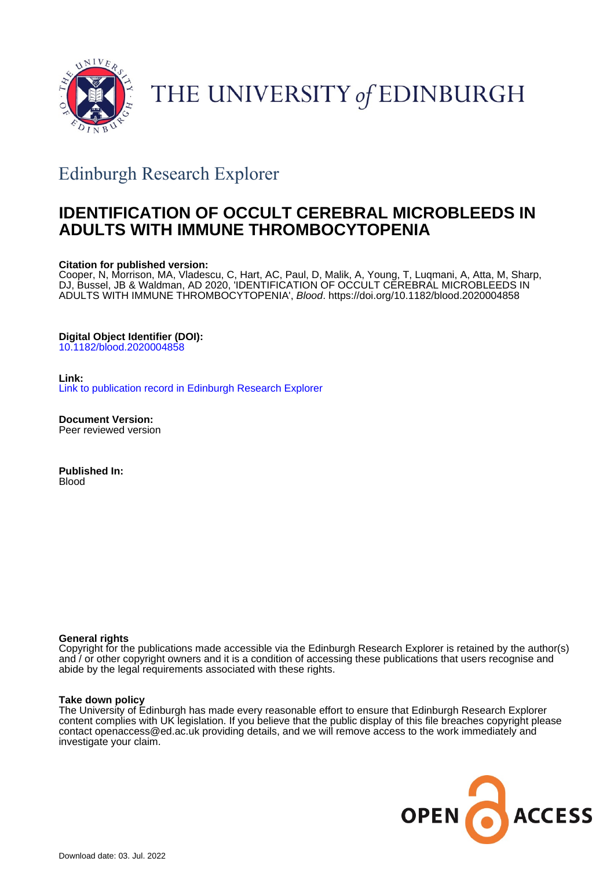

THE UNIVERSITY of EDINBURGH

## Edinburgh Research Explorer

## **IDENTIFICATION OF OCCULT CEREBRAL MICROBLEEDS IN ADULTS WITH IMMUNE THROMBOCYTOPENIA**

#### **Citation for published version:**

Cooper, N, Morrison, MA, Vladescu, C, Hart, AC, Paul, D, Malik, A, Young, T, Luqmani, A, Atta, M, Sharp, DJ, Bussel, JB & Waldman, AD 2020, 'IDENTIFICATION OF OCCULT CEREBRAL MICROBLEEDS IN ADULTS WITH IMMUNE THROMBOCYTOPENIA', Blood.<https://doi.org/10.1182/blood.2020004858>

#### **Digital Object Identifier (DOI):**

[10.1182/blood.2020004858](https://doi.org/10.1182/blood.2020004858)

**Link:** [Link to publication record in Edinburgh Research Explorer](https://www.research.ed.ac.uk/en/publications/5cd7c2b4-1cd2-4508-8ca4-e0389ca52f35)

**Document Version:** Peer reviewed version

**Published In:** Blood

#### **General rights**

Copyright for the publications made accessible via the Edinburgh Research Explorer is retained by the author(s) and / or other copyright owners and it is a condition of accessing these publications that users recognise and abide by the legal requirements associated with these rights.

#### **Take down policy**

The University of Edinburgh has made every reasonable effort to ensure that Edinburgh Research Explorer content complies with UK legislation. If you believe that the public display of this file breaches copyright please contact openaccess@ed.ac.uk providing details, and we will remove access to the work immediately and investigate your claim.

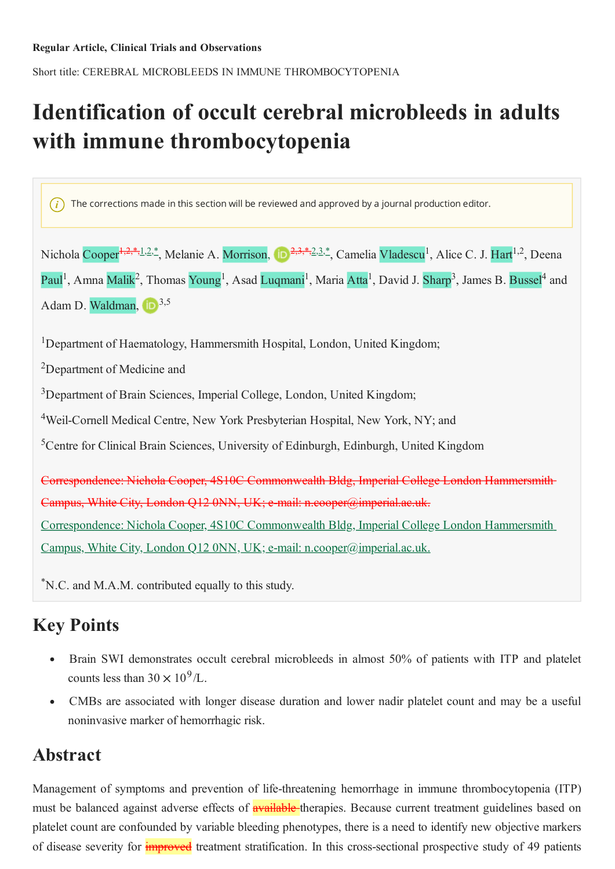Short title: CEREBRAL MICROBLEEDS IN IMMUNE THROMBOCYTOPENIA

# Identification of occult cerebral microbleeds in adults with immune thrombocytopenia

 $(i)$  The corrections made in this section will be reviewed and approved by a journal production editor.

Nichola Cooper<sup>1,2,\*</sup>,1,2,\*, Melanie A. Morrison, D<sup>2,3,\*,2,3,\*</sup>, Camelia Vladescu<sup>1</sup>, Alice C. J. Hart<sup>1,2</sup>, Deena Paul<sup>1</sup>, Amna Malik<sup>2</sup>, Thomas Young<sup>1</sup>, Asad Luqmani<sup>1</sup>, Maria Atta<sup>1</sup>, David J. Sharp<sup>3</sup>, James B. Bussel<sup>4</sup> and Adam D. Waldman,  $\boxed{D^{3,5}}$ 

<sup>1</sup>Department of Haematology, Hammersmith Hospital, London, United Kingdom;

<sup>2</sup>Department of Medicine and

<sup>3</sup>Department of Brain Sciences, Imperial College, London, United Kingdom;

<sup>4</sup>Weil-Cornell Medical Centre, New York Presbyterian Hospital, New York, NY; and

<sup>5</sup>Centre for Clinical Brain Sciences, University of Edinburgh, Edinburgh, United Kingdom

Correspondence: Nichola Cooper, 4S10C Commonwealth Bldg, Imperial College London Hammersmith-Campus, White City, London Q12 0NN, UK; e-mail: n.eooper@imperial.ac.uk. Correspondence: Nichola Cooper, 4S10C Commonwealth Bldg, Imperial College London Hammersmith Campus, White City, London Q12 0NN, UK; e-mail: n.cooper@imperial.ac.uk.

<sup>\*</sup>N.C. and M.A.M. contributed equally to this study.

## **Key Points**

- Brain SWI demonstrates occult cerebral microbleeds in almost 50% of patients with ITP and platelet counts less than  $30 \times 10^9$ /L.
- CMBs are associated with longer disease duration and lower nadir platelet count and may be a useful  $\bullet$ noninvasive marker of hemorrhagic risk.

## Abstract

Management of symptoms and prevention of life-threatening hemorrhage in immune thrombocytopenia (ITP) must be balanced against adverse effects of **available** therapies. Because current treatment guidelines based on platelet count are confounded by variable bleeding phenotypes, there is a need to identify new objective markers of disease severity for **improved** treatment stratification. In this cross-sectional prospective study of 49 patients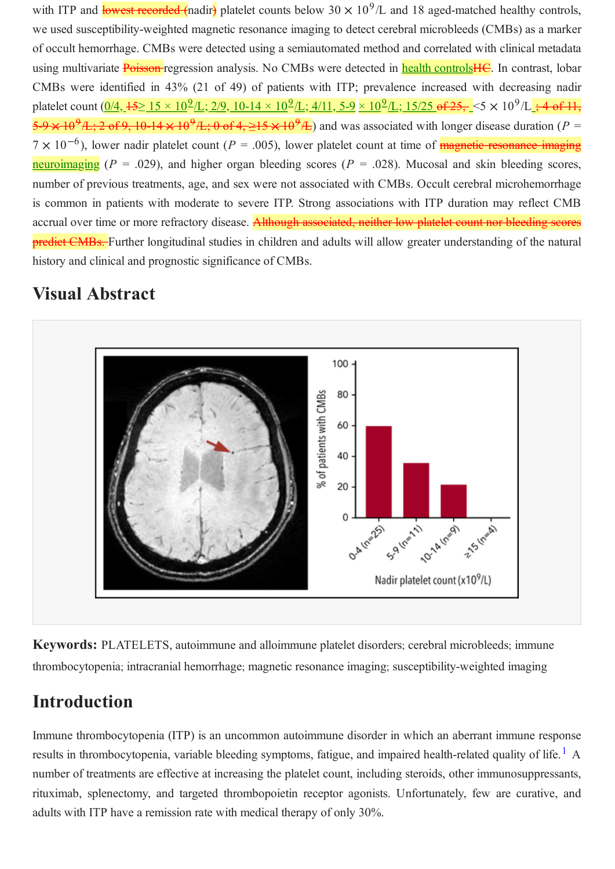with ITP and lowest recorded (nadir) platelet counts below  $30 \times 10^9$ /L and 18 aged-matched healthy controls, we used susceptibility-weighted magnetic resonance imaging to detect cerebral microbleeds (CMBs) as a marker of occult hemorrhage. CMBs were detected using a semiautomated method and correlated with clinical metadata using multivariate **Poisson-**regression analysis. No CMBs were detected in **health controlsHC**. In contrast, lobar CMBs were identified in 43% (21 of 49) of patients with ITP; prevalence increased with decreasing nadir platelet count  $(0/4, 15 \ge 15 \times 10^9/\text{L}; 2/9, 10-14 \times 10^9/\text{L}; 4/11, 5-9 \times 10^9/\text{L}; 15/25 \text{ of } 25, 5 \times 10^9/\text{L}; 4 \text{ of } 11,$  $\frac{5.9 \times 10^{9} \text{A}}{25.2 \text{ of } 9.10^{-14} \times 10^{9} \text{A}}$ ; 0 of 4,  $\geq 15 \times 10^{9} \text{A}$ ) and was associated with longer disease duration (P =  $7 \times 10^{-6}$ ), lower nadir platelet count (P = .005), lower platelet count at time of **magnetic resonance imaging** neuroimaging ( $P = .029$ ), and higher organ bleeding scores ( $P = .028$ ). Mucosal and skin bleeding scores, number of previous treatments, age, and sex were not associated with CMBs. Occult cerebral microhemorrhage is common in patients with moderate to severe ITP. Strong associations with ITP duration may reflect CMB accrual over time or more refractory disease. Although associated, neither low platelet count nor bleeding scores predict CMBs. Further longitudinal studies in children and adults will allow greater understanding of the natural history and clinical and prognostic significance of CMBs.

## **Visual Abstract**



Keywords: PLATELETS, autoimmune and alloimmune platelet disorders; cerebral microbleeds; immune thrombocytopenia; intracranial hemorrhage; magnetic resonance imaging; susceptibility-weighted imaging

## Introduction

Immune thrombocytopenia (ITP) is an uncommon autoimmune disorder in which an aberrant immune response results in thrombocytopenia, variable bleeding symptoms, fatigue, and impaired health-related quality of life.<sup>1</sup> A number of treatments are effective at increasing the platelet count, including steroids, other immunosuppressants, rituximab, splenectomy, and targeted thrombopoietin receptor agonists. Unfortunately, few are curative, and adults with ITP have a remission rate with medical therapy of only 30%.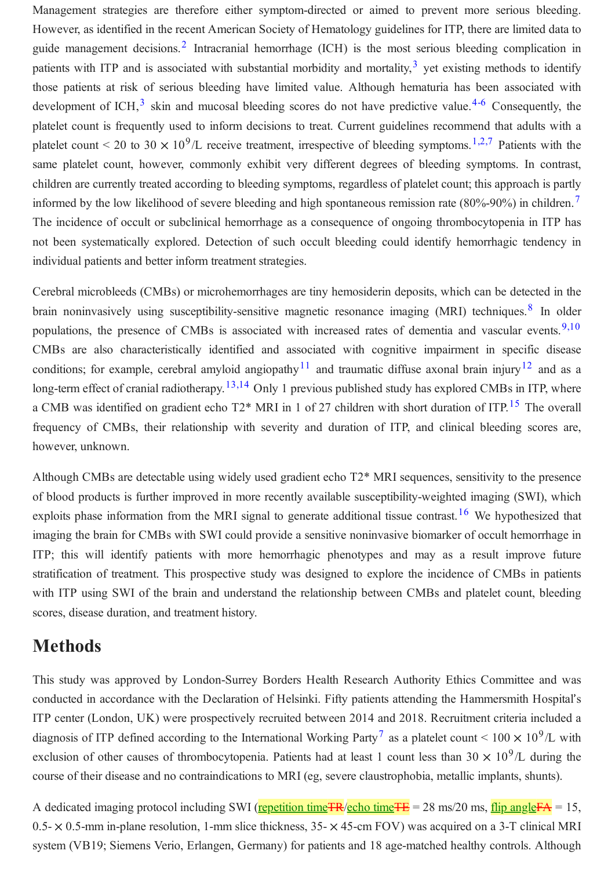Management strategies are therefore either symptom-directed or aimed to prevent more serious bleeding. However, as identified in the recent American Society of Hematology guidelines for ITP, there are limited data to guide management decisions.<sup>2</sup> Intracranial hemorrhage (ICH) is the most serious bleeding complication in patients with ITP and is associated with substantial morbidity and mortality,<sup>3</sup> yet existing methods to identify those patients at risk of serious bleeding have limited value. Although hematuria has been associated with development of ICH, $^3$  skin and mucosal bleeding scores do not have predictive value.<sup>4-6</sup> Consequently, the platelet count is frequently used to inform decisions to treat. Current guidelines recommend that adults with a platelet count < 20 to 30  $\times$  10<sup>9</sup>/L receive treatment, irrespective of bleeding symptoms.<sup>1,2,7</sup> Patients with the same platelet count, however, commonly exhibit very different degrees of bleeding symptoms. In contrast, children are currently treated according to bleeding symptoms, regardless of platelet count; this approach is partly informed by the low likelihood of severe bleeding and high spontaneous remission rate  $(80\% - 90\%)$  in children.<sup>7</sup> The incidence of occult or subclinical hemorrhage as a consequence of ongoing thrombocytopenia in ITP has not been systematically explored. Detection of such occult bleeding could identify hemorrhagic tendency in individual patients and better inform treatment strategies.

Cerebral microbleeds (CMBs) or microhemorrhages are tiny hemosiderin deposits, which can be detected in the brain noninvasively using susceptibility-sensitive magnetic resonance imaging (MRI) techniques.<sup>8</sup> In older populations, the presence of CMBs is associated with increased rates of dementia and vascular events.<sup>9,10</sup> CMBs are also characteristically identified and associated with cognitive impairment in specific disease conditions; for example, cerebral amyloid angiopathy<sup>11</sup> and traumatic diffuse axonal brain injury<sup>12</sup> and as a long-term effect of cranial radiotherapy.  $13,14$  Only 1 previous published study has explored CMBs in ITP, where a CMB was identified on gradient echo T2\* MRI in 1 of 27 children with short duration of ITP.<sup>15</sup> The overall frequency of CMBs, their relationship with severity and duration of ITP, and clinical bleeding scores are, however, unknown.

Although CMBs are detectable using widely used gradient echo T2\* MRI sequences, sensitivity to the presence of blood products is further improved in more recently available susceptibility-weighted imaging (SWI), which exploits phase information from the MRI signal to generate additional tissue contrast.<sup>16</sup> We hypothesized that imaging the brain for CMBs with SWI could provide a sensitive noninvasive biomarker of occult hemorrhage in ITP; this will identify patients with more hemorrhagic phenotypes and may as a result improve future stratification of treatment. This prospective study was designed to explore the incidence of CMBs in patients with ITP using SWI of the brain and understand the relationship between CMBs and platelet count, bleeding scores, disease duration, and treatment history.

### **Methods**

This study was approved by London-Surrey Borders Health Research Authority Ethics Committee and was conducted in accordance with the Declaration of Helsinki. Fifty patients attending the Hammersmith Hospital's ITP center (London, UK) were prospectively recruited between 2014 and 2018. Recruitment criteria included a diagnosis of ITP defined according to the International Working Party<sup>7</sup> as a platelet count <  $100 \times 10^9$ /L with exclusion of other causes of thrombocytopenia. Patients had at least 1 count less than 30  $\times$  10<sup>9</sup>/L during the course of their disease and no contraindications to MRI (eg, severe claustrophobia, metallic implants, shunts).

A dedicated imaging protocol including SWI (repetition time TR/echo time TE = 28 ms/20 ms, flip angle FA = 15,  $0.5 - \times 0.5$ -mm in-plane resolution, 1-mm slice thickness,  $35 - \times 45$ -cm FOV) was acquired on a 3-T clinical MRI system (VB19; Siemens Verio, Erlangen, Germany) for patients and 18 age-matched healthy controls. Although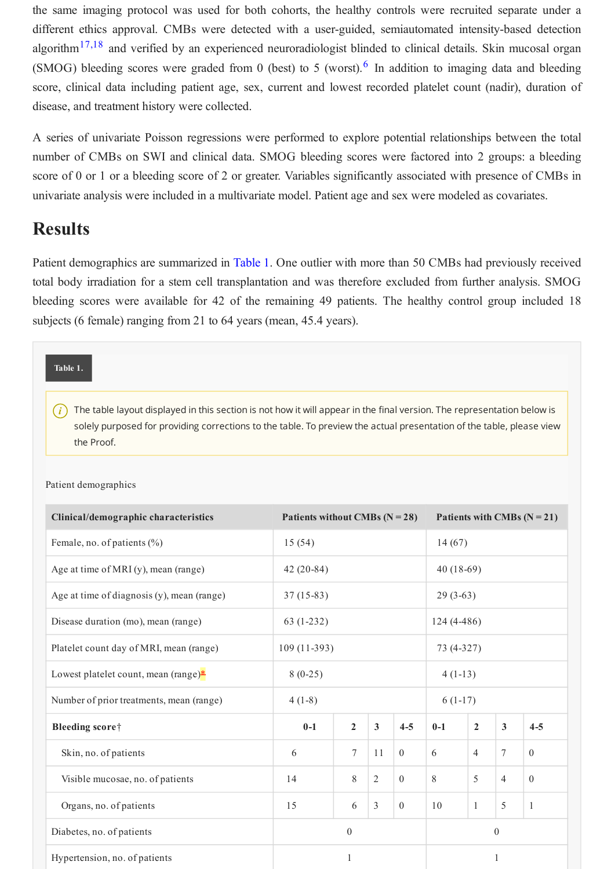the same imaging protocol was used for both cohorts, the healthy controls were recruited separate under a different ethics approval. CMBs were detected with a user-guided, semiautomated intensity-based detection algorithm<sup>17,18</sup> and verified by an experienced neuroradiologist blinded to clinical details. Skin mucosal organ (SMOG) bleeding scores were graded from 0 (best) to 5 (worst).<sup>6</sup> In addition to imaging data and bleeding score, clinical data including patient age, sex, current and lowest recorded platelet count (nadir), duration of disease, and treatment history were collected.

A series of univariate Poisson regressions were performed to explore potential relationships between the total number of CMBs on SWI and clinical data. SMOG bleeding scores were factored into 2 groups: a bleeding score of 0 or 1 or a bleeding score of 2 or greater. Variables significantly associated with presence of CMBs in univariate analysis were included in a multivariate model. Patient age and sex were modeled as covariates.

### **Results**

Patient demographics are summarized in Table 1. One outlier with more than 50 CMBs had previously received total body irradiation for a stem cell transplantation and was therefore excluded from further analysis. SMOG bleeding scores were available for 42 of the remaining 49 patients. The healthy control group included 18 subjects (6 female) ranging from 21 to 64 years (mean, 45.4 years).

| Table 1. |  |
|----------|--|
|          |  |

 $(i)$  The table layout displayed in this section is not how it will appear in the final version. The representation below is solely purposed for providing corrections to the table. To preview the actual presentation of the table, please view the Proof.

| Clinical/demographic characteristics       | Patients without CMBs $(N = 28)$ |                |                | Patients with CMBs $(N = 21)$ |              |                |                |              |
|--------------------------------------------|----------------------------------|----------------|----------------|-------------------------------|--------------|----------------|----------------|--------------|
| Female, no. of patients (%)                | 15(54)                           |                |                | 14(67)                        |              |                |                |              |
| Age at time of MRI (y), mean (range)       | $42(20-84)$                      |                |                |                               | $40(18-69)$  |                |                |              |
| Age at time of diagnosis (y), mean (range) | $37(15-83)$                      |                |                |                               | $29(3-63)$   |                |                |              |
| Disease duration (mo), mean (range)        | $63(1-232)$                      |                |                |                               | $124(4-486)$ |                |                |              |
| Platelet count day of MRI, mean (range)    | $109(11-393)$                    |                |                |                               | 73 (4-327)   |                |                |              |
| Lowest platelet count, mean (range)*       | $8(0-25)$                        |                |                |                               | $4(1-13)$    |                |                |              |
| Number of prior treatments, mean (range)   | $4(1-8)$                         |                |                |                               | $6(1-17)$    |                |                |              |
| Bleeding score                             | $0-1$                            | $\overline{2}$ | 3              | $4 - 5$                       | $0-1$        | $\overline{2}$ | $\mathbf{3}$   | $4 - 5$      |
| Skin, no. of patients                      | 6                                | $\tau$         | 11             | $\mathbf{0}$                  | 6            | $\overline{4}$ | $\overline{7}$ | $\theta$     |
| Visible mucosae, no. of patients           | 14                               | $8\,$          | $\overline{2}$ | $\theta$                      | 8            | 5              | $\overline{4}$ | $\theta$     |
| Organs, no. of patients                    | 15                               | 6              | 3              | $\mathbf{0}$                  | 10           | $\mathbf{1}$   | 5              | $\mathbf{1}$ |
| Diabetes, no. of patients                  | $\boldsymbol{0}$                 |                |                | $\boldsymbol{0}$              |              |                |                |              |
| Hypertension, no. of patients              | 1                                |                |                | 1                             |              |                |                |              |

#### Patient demographics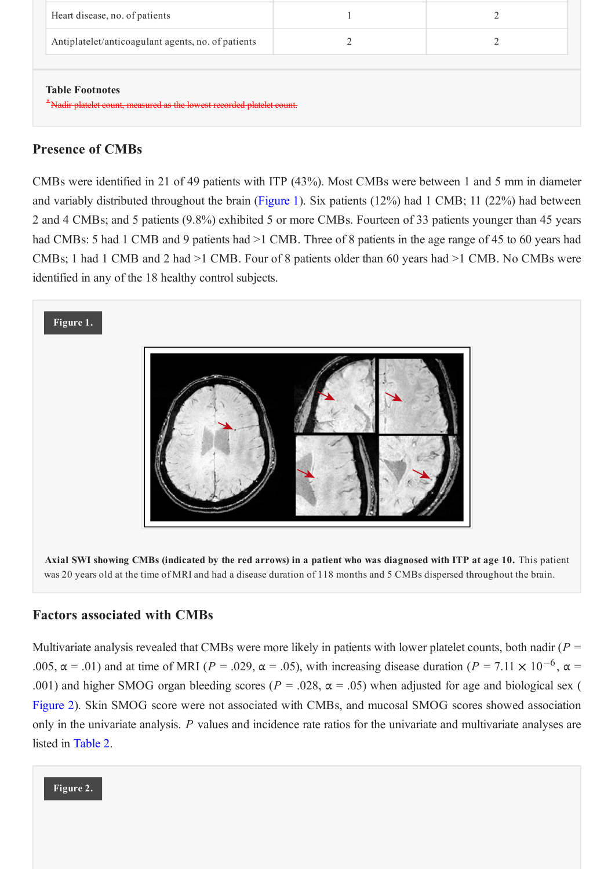| Heart disease, no. of patients                                                                   |  |  |  |  |  |  |
|--------------------------------------------------------------------------------------------------|--|--|--|--|--|--|
| Antiplatelet/anticoagulant agents, no. of patients                                               |  |  |  |  |  |  |
|                                                                                                  |  |  |  |  |  |  |
| <b>Table Footnotes</b><br>*Nadir platelet count, measured as the lowest recorded platelet count. |  |  |  |  |  |  |

### **Presence of CMBs**

CMBs were identified in 21 of 49 patients with ITP (43%). Most CMBs were between 1 and 5 mm in diameter and variably distributed throughout the brain (Figure 1). Six patients  $(12%)$  had 1 CMB; 11  $(22%)$  had between 2 and 4 CMBs; and 5 patients (9.8%) exhibited 5 or more CMBs. Fourteen of 33 patients younger than 45 years had CMBs: 5 had 1 CMB and 9 patients had >1 CMB. Three of 8 patients in the age range of 45 to 60 years had CMBs; 1 had 1 CMB and 2 had >1 CMB. Four of 8 patients older than 60 years had >1 CMB. No CMBs were identified in any of the 18 healthy control subjects.



### **Factors associated with CMBs**

Multivariate analysis revealed that CMBs were more likely in patients with lower platelet counts, both nadir ( $P =$ .005,  $\alpha$  = .01) and at time of MRI (P = .029,  $\alpha$  = .05), with increasing disease duration (P = 7.11  $\times$  10<sup>-6</sup>,  $\alpha$  = .001) and higher SMOG organ bleeding scores ( $P = .028$ ,  $\alpha = .05$ ) when adjusted for age and biological sex ( Figure 2). Skin SMOG score were not associated with CMBs, and mucosal SMOG scores showed association only in the univariate analysis.  $P$  values and incidence rate ratios for the univariate and multivariate analyses are listed in Table 2.

Figure 2.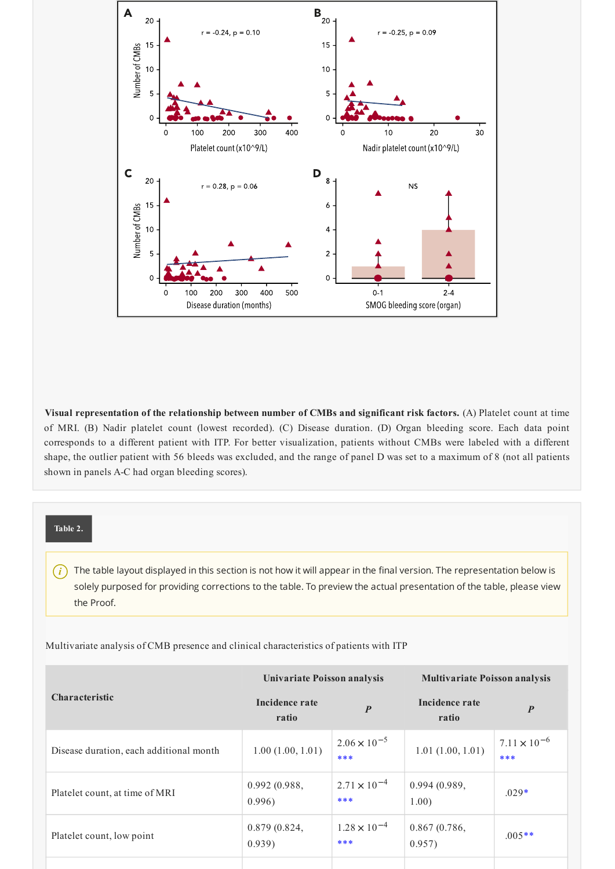

Visual representation of the relationship between number of CMBs and significant risk factors. (A) Platelet count at time of MRI. (B) Nadir platelet count (lowest recorded). (C) Disease duration. (D) Organ bleeding score. Each data point corresponds to a different patient with ITP. For better visualization, patients without CMBs were labeled with a different shape, the outlier patient with 56 bleeds was excluded, and the range of panel D was set to a maximum of 8 (not all patients shown in panels A-C had organ bleeding scores).

#### Table 2.

The table layout displayed in this section is not how it will appear in the final version. The representation below is  $(i)$ solely purposed for providing corrections to the table. To preview the actual presentation of the table, please view the Proof.

Multivariate analysis of CMB presence and clinical characteristics of patients with ITP

|                                         | Univariate Poisson analysis |                              | <b>Multivariate Poisson analysis</b> |                              |  |
|-----------------------------------------|-----------------------------|------------------------------|--------------------------------------|------------------------------|--|
| <b>Characteristic</b>                   | Incidence rate<br>ratio     | $\boldsymbol{P}$             | Incidence rate<br>ratio              | $\boldsymbol{P}$             |  |
| Disease duration, each additional month | 1.00(1.00, 1.01)            | $2.06 \times 10^{-5}$<br>*** | 1.01(1.00, 1.01)                     | $7.11 \times 10^{-6}$<br>*** |  |
| Platelet count, at time of MRI          | 0.992(0.988,<br>0.996)      | $2.71 \times 10^{-4}$<br>*** | 0.994(0.989,<br>1.00)                | $.029*$                      |  |
| Platelet count, low point               | 0.879(0.824,<br>0.939)      | $1.28 \times 10^{-4}$<br>*** | 0.867(0.786,<br>0.957)               | $.005**$                     |  |
|                                         |                             |                              |                                      |                              |  |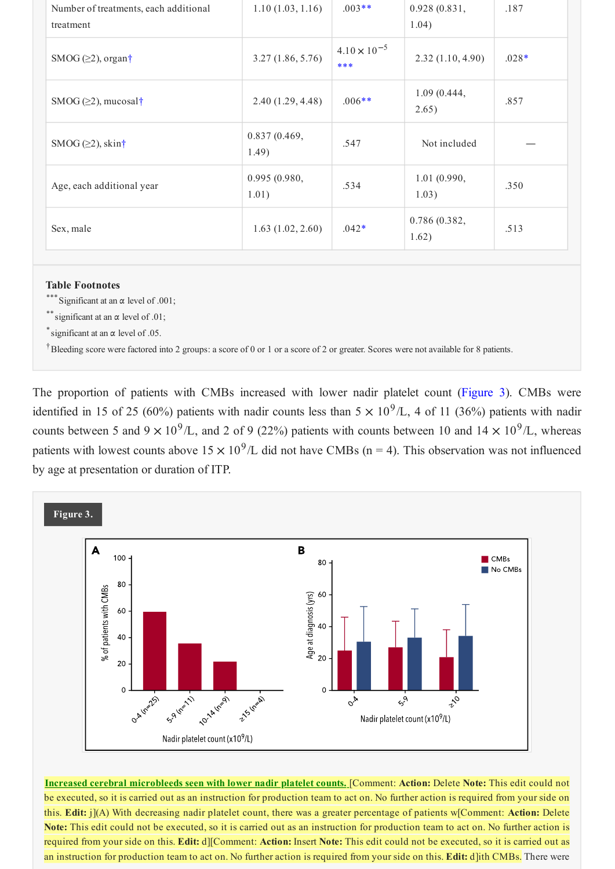| Number of treatments, each additional<br>treatment | 1.10(1.03, 1.16)      | $.003**$                     | 0.928(0.831,<br>1.04) | .187    |
|----------------------------------------------------|-----------------------|------------------------------|-----------------------|---------|
| SMOG $(\geq 2)$ , organ†                           | 3.27(1.86, 5.76)      | $4.10 \times 10^{-5}$<br>*** | 2.32(1.10, 4.90)      | $.028*$ |
| SMOG $(\geq 2)$ , mucosal†                         | 2.40(1.29, 4.48)      | $.006**$                     | 1.09(0.444,<br>2.65)  | .857    |
| SMOG $(\geq 2)$ , skin†                            | 0.837(0.469,<br>1.49) | .547                         | Not included          |         |
| Age, each additional year                          | 0.995(0.980,<br>1.01) | .534                         | 1.01(0.990,<br>1.03)  | .350    |
| Sex, male                                          | 1.63(1.02, 2.60)      | $.042*$                      | 0.786(0.382,<br>1.62) | .513    |

#### **Table Footnotes**

\*\*\* Significant at an  $\alpha$  level of .001;

\*\* significant at an  $\alpha$  level of .01:

\* significant at an  $\alpha$  level of .05.

<sup>†</sup>Bleeding score were factored into 2 groups: a score of 0 or 1 or a score of 2 or greater. Scores were not available for 8 patients.

The proportion of patients with CMBs increased with lower nadir platelet count (Figure 3). CMBs were identified in 15 of 25 (60%) patients with nadir counts less than  $5 \times 10^9$ /L, 4 of 11 (36%) patients with nadir counts between 5 and 9  $\times$  10<sup>9</sup>/L, and 2 of 9 (22%) patients with counts between 10 and 14  $\times$  10<sup>9</sup>/L, whereas patients with lowest counts above  $15 \times 10^9$ /L did not have CMBs (n = 4). This observation was not influenced by age at presentation or duration of ITP.



Increased cerebral microbleeds seen with lower nadir platelet counts. [Comment: Action: Delete Note: This edit could not be executed, so it is carried out as an instruction for production team to act on. No further action is required from your side on this. Edit: j](A) With decreasing nadir platelet count, there was a greater percentage of patients w[Comment: Action: Delete Note: This edit could not be executed, so it is carried out as an instruction for production team to act on. No further action is required from your side on this. Edit: d][Comment: Action: Insert Note: This edit could not be executed, so it is carried out as an instruction for production team to act on. No further action is required from your side on this. Edit: d]ith CMBs. There were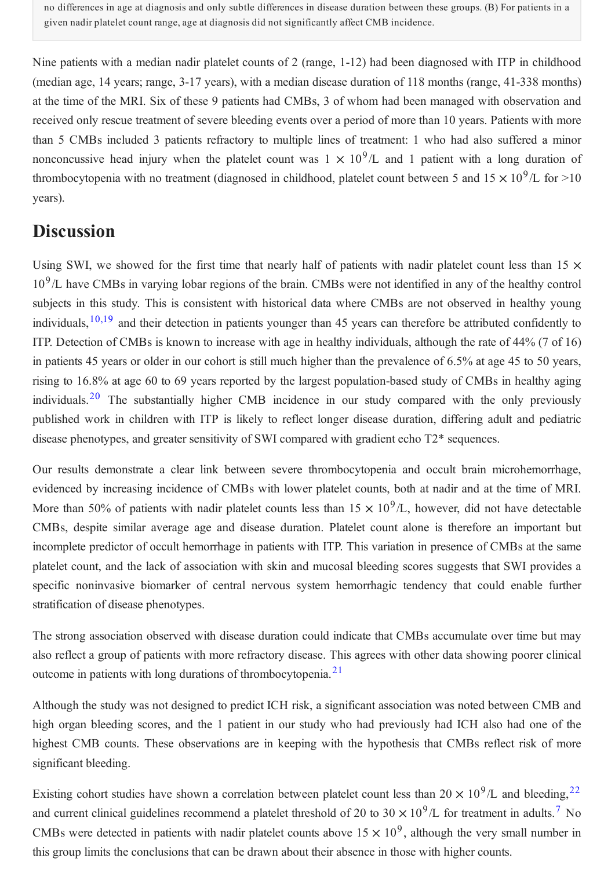no differences in age at diagnosis and only subtle differences in disease duration between these groups. (B) For patients in a given nadir platelet count range, age at diagnosis did not significantly affect CMB incidence.

Nine patients with a median nadir platelet counts of 2 (range, 1-12) had been diagnosed with ITP in childhood (median age, 14 years; range, 3-17 years), with a median disease duration of 118 months (range, 41-338 months) at the time of the MRI. Six of these 9 patients had CMBs, 3 of whom had been managed with observation and received only rescue treatment of severe bleeding events over a period of more than 10 years. Patients with more than 5 CMBs included 3 patients refractory to multiple lines of treatment: 1 who had also suffered a minor nonconcussive head injury when the platelet count was  $1 \times 10^9$ /L and 1 patient with a long duration of thrombocytopenia with no treatment (diagnosed in childhood, platelet count between 5 and  $15 \times 10^9$ /L for >10 years).

## **Discussion**

Using SWI, we showed for the first time that nearly half of patients with nadir platelet count less than 15  $\times$  $10<sup>9</sup>/L$  have CMBs in varying lobar regions of the brain. CMBs were not identified in any of the healthy control subiects in this study. This is consistent with historical data where CMBs are not observed in healthy young individuals,  $10,19$  and their detection in patients younger than 45 years can therefore be attributed confidently to ITP. Detection of CMBs is known to increase with age in healthy individuals, although the rate of 44% (7 of 16) in patients 45 years or older in our cohort is still much higher than the prevalence of 6.5% at age 45 to 50 years, rising to 16.8% at age 60 to 69 years reported by the largest population-based study of CMBs in healthy aging individuals.<sup>20</sup> The substantially higher CMB incidence in our study compared with the only previously published work in children with ITP is likely to reflect longer disease duration, differing adult and pediatric disease phenotypes, and greater sensitivity of SWI compared with gradient echo T2\* sequences.

Our results demonstrate a clear link between severe thrombocytopenia and occult brain microhemorrhage, evidenced by increasing incidence of CMBs with lower platelet counts, both at nadir and at the time of MRI. More than 50% of patients with nadir platelet counts less than  $15 \times 10^9$ /L, however, did not have detectable CMBs, despite similar average age and disease duration. Platelet count alone is therefore an important but incomplete predictor of occult hemorrhage in patients with ITP. This variation in presence of CMBs at the same platelet count, and the lack of association with skin and mucosal bleeding scores suggests that SWI provides a specific noninvasive biomarker of central nervous system hemorrhagic tendency that could enable further stratification of disease phenotypes.

The strong association observed with disease duration could indicate that CMBs accumulate over time but may also reflect a group of patients with more refractory disease. This agrees with other data showing poorer clinical outcome in patients with long durations of thrombocytopenia.<sup>21</sup>

Although the study was not designed to predict ICH risk, a significant association was noted between CMB and high organ bleeding scores, and the 1 patient in our study who had previously had ICH also had one of the highest CMB counts. These observations are in keeping with the hypothesis that CMBs reflect risk of more significant bleeding.

Existing cohort studies have shown a correlation between platelet count less than  $20 \times 10^9$ /L and bleeding, <sup>22</sup> and current clinical guidelines recommend a platelet threshold of 20 to 30  $\times$  10<sup>9</sup>/L for treatment in adults.<sup>7</sup> No CMBs were detected in patients with nadir platelet counts above  $15 \times 10^9$ , although the very small number in this group limits the conclusions that can be drawn about their absence in those with higher counts.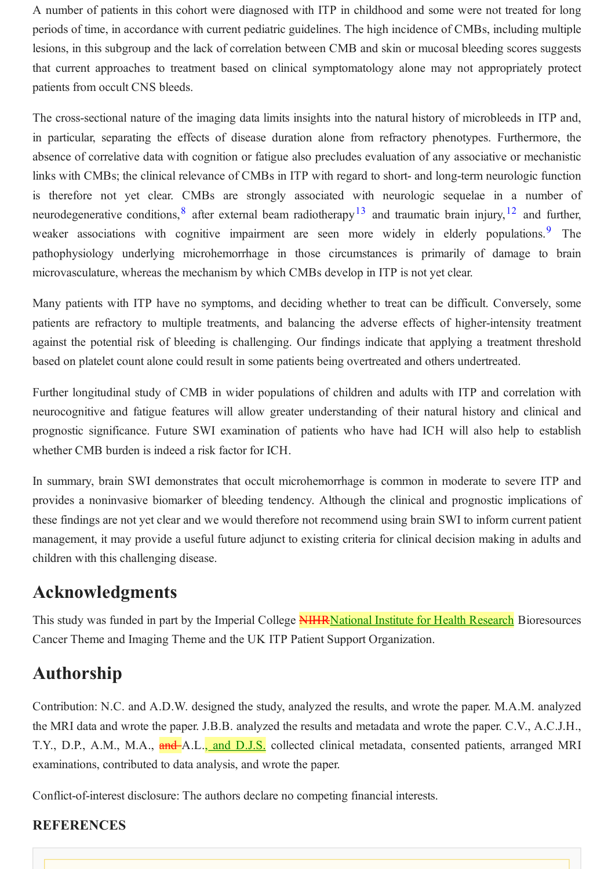A number of patients in this cohort were diagnosed with ITP in childhood and some were not treated for long periods of time, in accordance with current pediatric guidelines. The high incidence of CMBs, including multiple lesions, in this subgroup and the lack of correlation between CMB and skin or mucosal bleeding scores suggests that current approaches to treatment based on clinical symptomatology alone may not appropriately protect patients from occult CNS bleeds.

The cross-sectional nature of the imaging data limits insights into the natural history of microbleeds in ITP and, in particular, separating the effects of disease duration alone from refractory phenotypes. Furthermore, the absence of correlative data with cognition or fatigue also precludes evaluation of any associative or mechanistic links with CMBs; the clinical relevance of CMBs in ITP with regard to short- and long-term neurologic function is therefore not yet clear. CMBs are strongly associated with neurologic sequelae in a number of neurodegenerative conditions,  $8$  after external beam radiotherapy  $13$  and traumatic brain injury,  $12$  and further, weaker associations with cognitive impairment are seen more widely in elderly populations.<sup>9</sup> The pathophysiology underlying microhemorrhage in those circumstances is primarily of damage to brain microvasculature, whereas the mechanism by which CMBs develop in ITP is not yet clear.

Many patients with ITP have no symptoms, and deciding whether to treat can be difficult. Conversely, some patients are refractory to multiple treatments, and balancing the adverse effects of higher-intensity treatment against the potential risk of bleeding is challenging. Our findings indicate that applying a treatment threshold based on platelet count alone could result in some patients being overtreated and others undertreated.

Further longitudinal study of CMB in wider populations of children and adults with ITP and correlation with neurocognitive and fatigue features will allow greater understanding of their natural history and clinical and prognostic significance. Future SWI examination of patients who have had ICH will also help to establish whether CMB burden is indeed a risk factor for ICH.

In summary, brain SWI demonstrates that occult microhemorrhage is common in moderate to severe ITP and provides a noninvasive biomarker of bleeding tendency. Although the clinical and prognostic implications of these findings are not yet clear and we would therefore not recommend using brain SWI to inform current patient management, it may provide a useful future adjunct to existing criteria for clinical decision making in adults and children with this challenging disease.

## **Acknowledgments**

This study was funded in part by the Imperial College **NIHRNational Institute for Health Research** Bioresources Cancer Theme and Imaging Theme and the UK ITP Patient Support Organization.

## **Authorship**

Contribution: N.C. and A.D.W. designed the study, analyzed the results, and wrote the paper. M.A.M. analyzed the MRI data and wrote the paper. J.B.B. analyzed the results and metadata and wrote the paper. C.V., A.C.J.H., T.Y., D.P., A.M., M.A., and A.L., and D.J.S. collected clinical metadata, consented patients, arranged MRI examinations, contributed to data analysis, and wrote the paper.

Conflict-of-interest disclosure: The authors declare no competing financial interests.

### **REFERENCES**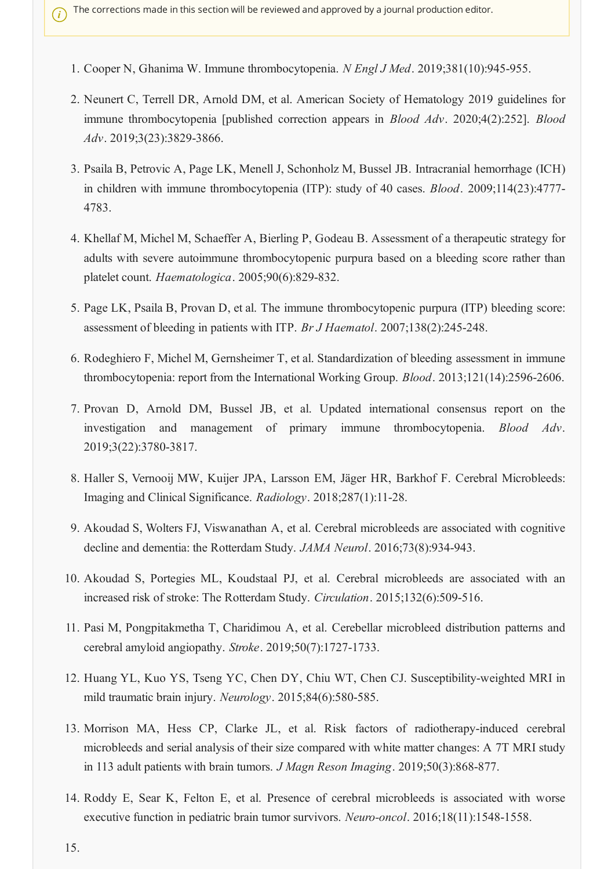- 1. Cooper N, Ghanima W. Immune thrombocytopenia. N Engl J Med. 2019;381(10):945-955.
- 2. Neunert C, Terrell DR, Arnold DM, et al. American Society of Hematology 2019 guidelines for immune thrombocytopenia [published correction appears in *Blood Adv.* 2020;4(2):252]. *Blood*  $Adv. 2019;3(23):3829-3866.$
- 3. Psaila B, Petrovic A, Page LK, Menell J, Schonholz M, Bussel JB. Intracranial hemorrhage (ICH) in children with immune thrombocytopenia (ITP): study of 40 cases. *Blood*. 2009;114(23):4777-4783.
- 4. Khellaf M, Michel M, Schaeffer A, Bierling P, Godeau B. Assessment of a therapeutic strategy for adults with severe autoimmune thrombocytopenic purpura based on a bleeding score rather than platelet count. Haematologica. 2005:90(6):829-832.
- 5. Page LK, Psaila B, Provan D, et al. The immune thrombocytopenic purpura (ITP) bleeding score: assessment of bleeding in patients with ITP. Br J Haematol. 2007;138(2):245-248.
- 6. Rodeghiero F, Michel M, Gernsheimer T, et al. Standardization of bleeding assessment in immune thrombocytopenia: report from the International Working Group. *Blood*. 2013;121(14):2596-2606.
- 7. Provan D, Arnold DM, Bussel JB, et al. Updated international consensus report on the investigation and management of primary immune thrombocytopenia. Blood Adv. 2019;3(22):3780-3817.
- 8. Haller S, Vernooij MW, Kuijer JPA, Larsson EM, Jäger HR, Barkhof F. Cerebral Microbleeds: Imaging and Clinical Significance. Radiology. 2018;287(1):11-28.
- 9. Akoudad S, Wolters FJ, Viswanathan A, et al. Cerebral microbleeds are associated with cognitive decline and dementia: the Rotterdam Study. JAMA Neurol. 2016;73(8):934-943.
- 10. Akoudad S, Portegies ML, Koudstaal PJ, et al. Cerebral microbleeds are associated with an increased risk of stroke: The Rotterdam Study. Circulation. 2015;132(6):509-516.
- 11. Pasi M, Pongpitakmetha T, Charidimou A, et al. Cerebellar microbleed distribution patterns and cerebral amyloid angiopathy. Stroke. 2019;50(7):1727-1733.
- 12. Huang YL, Kuo YS, Tseng YC, Chen DY, Chiu WT, Chen CJ. Susceptibility-weighted MRI in mild traumatic brain injury. Neurology. 2015;84(6):580-585.
- 13. Morrison MA, Hess CP, Clarke JL, et al. Risk factors of radiotherapy-induced cerebral microbleeds and serial analysis of their size compared with white matter changes: A 7T MRI study in 113 adult patients with brain tumors. *J Magn Reson Imaging*. 2019;50(3):868-877.
- 14. Roddy E, Sear K, Felton E, et al. Presence of cerebral microbleeds is associated with worse executive function in pediatric brain tumor survivors. Neuro-oncol. 2016;18(11):1548-1558.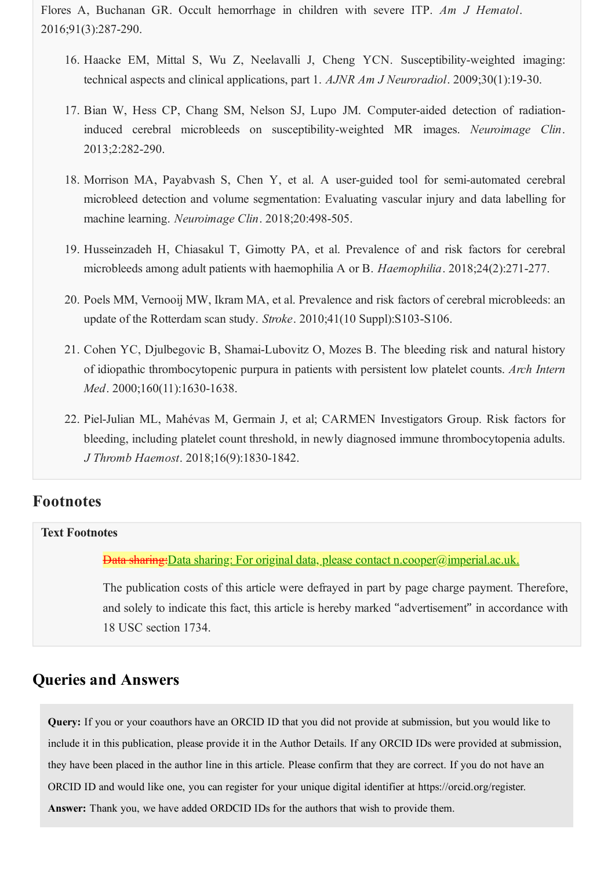Flores A, Buchanan GR. Occult hemorrhage in children with severe ITP. *Am J Hematol*. 2016;91(3):287-290.

- 16. Haacke EM, Mittal S, Wu Z, Neelavalli J, Cheng YCN. Susceptibility-weighted imaging: technical aspects and clinical applications, part 1. *AJNR Am J Neuroradiol*. 2009;30(1):19-30.
- 17. Bian W, Hess CP, Chang SM, Nelson SJ, Lupo JM. Computer-aided detection of radiationinduced cerebral microbleeds on susceptibility-weighted MR images. *Neuroimage Clin*. 2013;2:282-290.
- 18. Morrison MA, Payabvash S, Chen Y, et al. A user-guided tool for semi-automated cerebral microbleed detection and volume segmentation: Evaluating vascular injury and data labelling for machine learning. *Neuroimage Clin*. 2018;20:498-505.
- 19. Husseinzadeh H, Chiasakul T, Gimotty PA, et al. Prevalence of and risk factors for cerebral microbleeds among adult patients with haemophilia A or B. *Haemophilia*. 2018;24(2):271-277.
- 20. Poels MM, Vernooij MW, Ikram MA, et al. Prevalence and risk factors of cerebral microbleeds: an update of the Rotterdam scan study. *Stroke*. 2010;41(10 Suppl):S103-S106.
- 21. Cohen YC, Djulbegovic B, Shamai-Lubovitz O, Mozes B. The bleeding risk and natural history of idiopathic thrombocytopenic purpura in patients with persistent low platelet counts. *Arch Intern Med*. 2000;160(11):1630-1638.
- 22. Piel-Julian ML, Mahévas M, Germain J, et al; CARMEN Investigators Group. Risk factors for bleeding, including platelet count threshold, in newly diagnosed immune thrombocytopenia adults. *J Thromb Haemost*. 2018;16(9):1830-1842.

### **Footnotes**

#### **Text Footnotes**

Data sharing: Data sharing: For original data, please contact n.cooper@imperial.ac.uk.

The publication costs of this article were defrayed in part by page charge payment. Therefore, and solely to indicate this fact, this article is hereby marked " advertisement" in accordance with 18 USC section 1734.

## **Queries and Answers**

**Query:** If you or your coauthors have an ORCID ID that you did not provide at submission, but you would like to include it in this publication, please provide it in the Author Details. If any ORCID IDs were provided at submission, they have been placed in the author line in this article. Please confirm that they are correct. If you do not have an ORCID ID and would like one, you can register for your unique digital identifier at https://orcid.org/register.

**Answer:** Thank you, we have added ORDCID IDs for the authors that wish to provide them.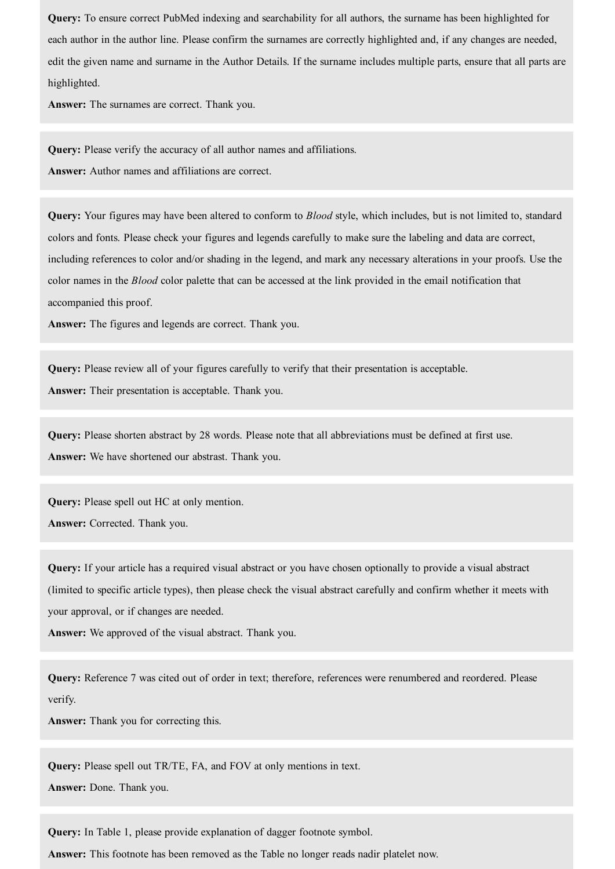**Query:** To ensure correct PubMed indexing and searchability for all authors, the surname has been highlighted for each author in the author line. Please confirm the surnames are correctly highlighted and, if any changes are needed, edit the given name and surname in the Author Details. If the surname includes multiple parts, ensure that all parts are highlighted.

**Answer:** The surnames are correct. Thank you.

**Query:** Please verify the accuracy of all author names and affiliations. **Answer:** Author names and affiliations are correct.

**Query:** Your figures may have been altered to conform to *Blood* style, which includes, but is not limited to, standard colors and fonts. Please check your figures and legends carefully to make sure the labeling and data are correct, including references to color and/or shading in the legend, and mark any necessary alterations in your proofs. Use the color names in the *Blood* color palette that can be accessed at the link provided in the email notification that accompanied this proof.

**Answer:** The figures and legends are correct. Thank you.

**Query:** Please review all of your figures carefully to verify that their presentation is acceptable. **Answer:** Their presentation is acceptable. Thank you.

**Query:** Please shorten abstract by 28 words. Please note that all abbreviations must be defined at first use. **Answer:** We have shortened our abstrast. Thank you.

**Query:** Please spell out HC at only mention. **Answer:** Corrected. Thank you.

**Query:** If your article has a required visual abstract or you have chosen optionally to provide a visual abstract (limited to specific article types), then please check the visual abstract carefully and confirm whether it meets with your approval, or if changes are needed.

**Answer:** We approved of the visual abstract. Thank you.

**Query:** Reference 7 was cited out of order in text; therefore, references were renumbered and reordered. Please verify.

**Answer:** Thank you for correcting this.

**Query:** Please spell out TR/TE, FA, and FOV at only mentions in text.

**Answer:** Done. Thank you.

**Query:** In Table 1, please provide explanation of dagger footnote symbol.

**Answer:** This footnote has been removed as the Table no longer reads nadir platelet now.